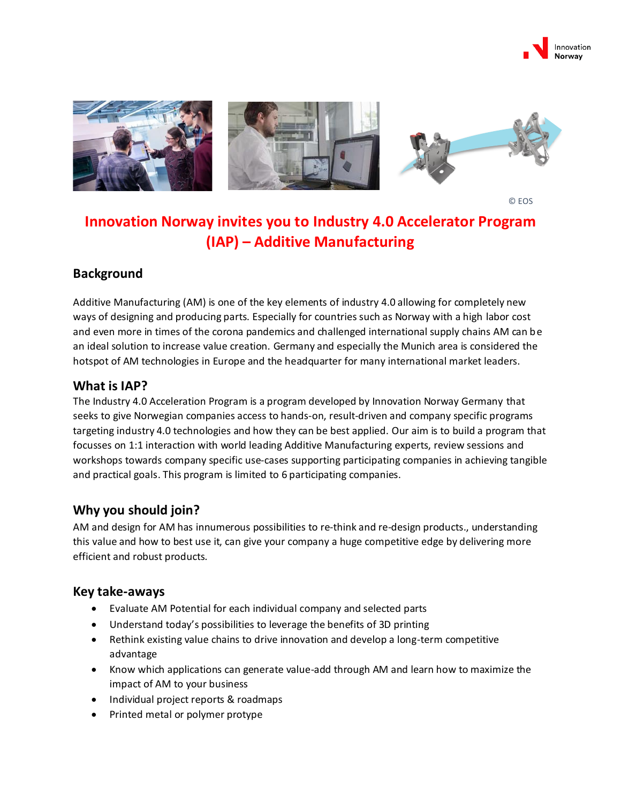



© EOS

# **Innovation Norway invites you to Industry 4.0 Accelerator Program (IAP) – Additive Manufacturing**

#### **Background**

Additive Manufacturing (AM) is one of the key elements of industry 4.0 allowing for completely new ways of designing and producing parts. Especially for countries such as Norway with a high labor cost and even more in times of the corona pandemics and challenged international supply chains AM can be an ideal solution to increase value creation. Germany and especially the Munich area is considered the hotspot of AM technologies in Europe and the headquarter for many international market leaders.

#### **What is IAP?**

The Industry 4.0 Acceleration Program is a program developed by Innovation Norway Germany that seeks to give Norwegian companies access to hands-on, result-driven and company specific programs targeting industry 4.0 technologies and how they can be best applied. Our aim is to build a program that focusses on 1:1 interaction with world leading Additive Manufacturing experts, review sessions and workshops towards company specific use-cases supporting participating companies in achieving tangible and practical goals. This program is limited to 6 participating companies.

#### **Why you should join?**

AM and design for AM has innumerous possibilities to re-think and re-design products., understanding this value and how to best use it, can give your company a huge competitive edge by delivering more efficient and robust products.

#### **Key take-aways**

- Evaluate AM Potential for each individual company and selected parts
- Understand today's possibilities to leverage the benefits of 3D printing
- Rethink existing value chains to drive innovation and develop a long-term competitive advantage
- Know which applications can generate value-add through AM and learn how to maximize the impact of AM to your business
- Individual project reports & roadmaps
- Printed metal or polymer protype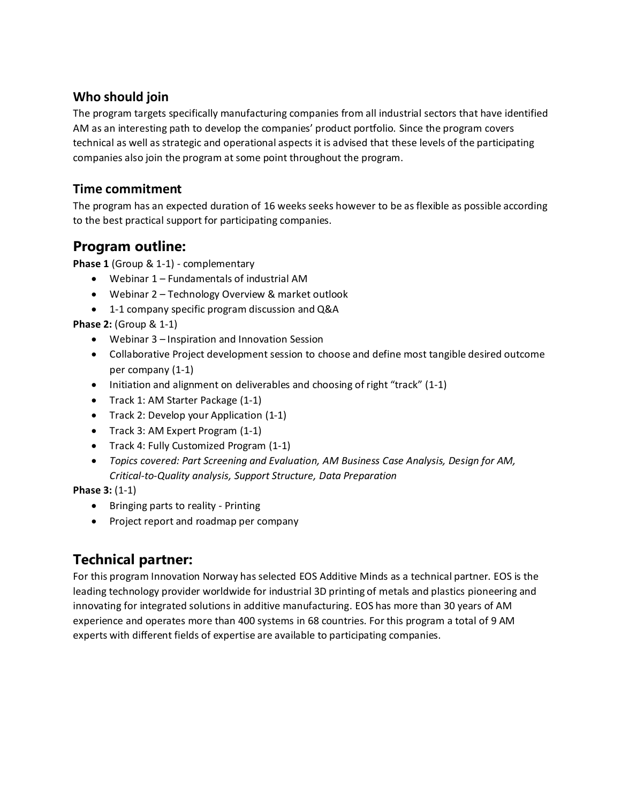### **Who should join**

The program targets specifically manufacturing companies from all industrial sectors that have identified AM as an interesting path to develop the companies' product portfolio. Since the program covers technical as well as strategic and operational aspects it is advised that these levels of the participating companies also join the program at some point throughout the program.

### **Time commitment**

The program has an expected duration of 16 weeks seeks however to be as flexible as possible according to the best practical support for participating companies.

### **Program outline:**

**Phase 1** (Group & 1-1) - complementary

- Webinar 1 Fundamentals of industrial AM
- Webinar 2 Technology Overview & market outlook
- 1-1 company specific program discussion and Q&A

**Phase 2:** (Group & 1-1)

- Webinar 3 Inspiration and Innovation Session
- Collaborative Project development session to choose and define most tangible desired outcome per company (1-1)
- Initiation and alignment on deliverables and choosing of right "track" (1-1)
- Track 1: AM Starter Package (1-1)
- Track 2: Develop your Application (1-1)
- Track 3: AM Expert Program (1-1)
- Track 4: Fully Customized Program (1-1)
- *Topics covered: Part Screening and Evaluation, AM Business Case Analysis, Design for AM, Critical-to-Quality analysis, Support Structure, Data Preparation*

**Phase 3:** (1-1)

- Bringing parts to reality Printing
- Project report and roadmap per company

### **Technical partner:**

For this program Innovation Norway has selected EOS Additive Minds as a technical partner. EOS is the leading technology provider worldwide for industrial 3D printing of metals and plastics pioneering and innovating for integrated solutions in additive manufacturing. EOS has more than 30 years of AM experience and operates more than 400 systems in 68 countries. For this program a total of 9 AM experts with different fields of expertise are available to participating companies.